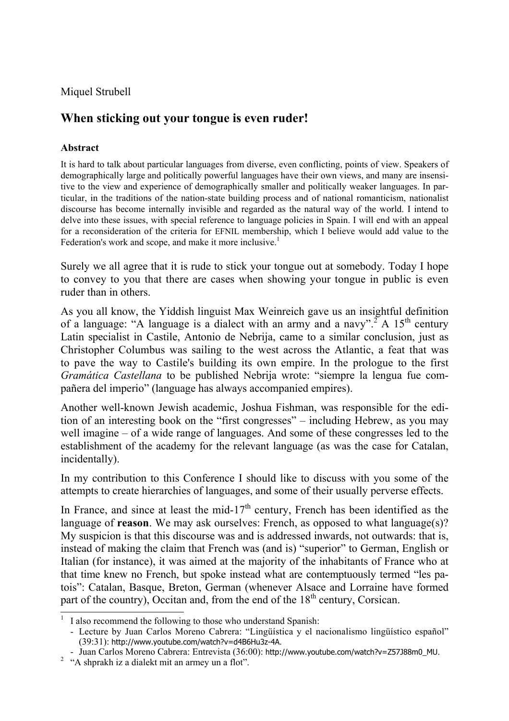Miquel Strubell

# **When sticking out your tongue is even ruder!**

#### **Abstract**

It is hard to talk about particular languages from diverse, even conflicting, points of view. Speakers of demographically large and politically powerful languages have their own views, and many are insensitive to the view and experience of demographically smaller and politically weaker languages. In particular, in the traditions of the nation-state building process and of national romanticism, nationalist discourse has become internally invisible and regarded as the natural way of the world. I intend to delve into these issues, with special reference to language policies in Spain. I will end with an appeal for a reconsideration of the criteria for EFNIL membership, which I believe would add value to the Federation's work and scope, and make it more inclusive.<sup>1</sup>

Surely we all agree that it is rude to stick your tongue out at somebody. Today I hope to convey to you that there are cases when showing your tongue in public is even ruder than in others.

As you all know, the Yiddish linguist Max Weinreich gave us an insightful definition of a language: "A language is a dialect with an army and a navy".<sup>2</sup> A 15<sup>th</sup> century Latin specialist in Castile, Antonio de Nebrija, came to a similar conclusion, just as Christopher Columbus was sailing to the west across the Atlantic, a feat that was to pave the way to Castile's building its own empire. In the prologue to the first *Gramática Castellana* to be published Nebrija wrote: "siempre la lengua fue compañera del imperio" (language has always accompanied empires).

Another well-known Jewish academic, Joshua Fishman, was responsible for the edition of an interesting book on the "first congresses" – including Hebrew, as you may well imagine – of a wide range of languages. And some of these congresses led to the establishment of the academy for the relevant language (as was the case for Catalan, incidentally).

In my contribution to this Conference I should like to discuss with you some of the attempts to create hierarchies of languages, and some of their usually perverse effects.

In France, and since at least the mid-17<sup>th</sup> century, French has been identified as the language of **reason**. We may ask ourselves: French, as opposed to what language(s)? My suspicion is that this discourse was and is addressed inwards, not outwards: that is, instead of making the claim that French was (and is) "superior" to German, English or Italian (for instance), it was aimed at the majority of the inhabitants of France who at that time knew no French, but spoke instead what are contemptuously termed "les patois": Catalan, Basque, Breton, German (whenever Alsace and Lorraine have formed part of the country), Occitan and, from the end of the  $18<sup>th</sup>$  century, Corsican.

<sup>&</sup>lt;sup>1</sup> I also recommend the following to those who understand Spanish:

 <sup>-</sup> Lecture by Juan Carlos Moreno Cabrera: "Lingüística y el nacionalismo lingüístico español" (39:31): http://www.youtube.com/watch?v=d4B6Hu3z-4A.

 <sup>-</sup> Juan Carlos Moreno Cabrera: Entrevista (36:00): http://www.youtube.com/watch?v=Z57J88m0\_MU. 2

 $2^{\circ}$  "A shprakh iz a dialekt mit an armey un a flot".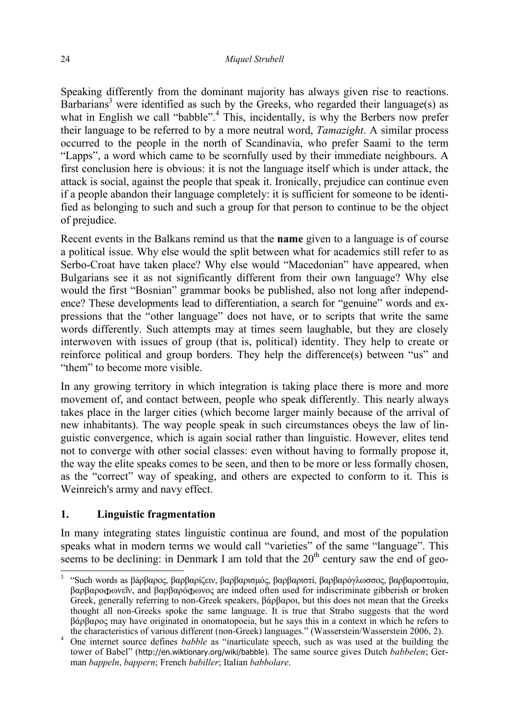Speaking differently from the dominant majority has always given rise to reactions. Barbarians<sup>3</sup> were identified as such by the Greeks, who regarded their language(s) as what in English we call "babble".<sup>4</sup> This, incidentally, is why the Berbers now prefer their language to be referred to by a more neutral word, *Tamazight*. A similar process occurred to the people in the north of Scandinavia, who prefer Saami to the term "Lapps", a word which came to be scornfully used by their immediate neighbours. A first conclusion here is obvious: it is not the language itself which is under attack, the attack is social, against the people that speak it. Ironically, prejudice can continue even if a people abandon their language completely: it is sufficient for someone to be identified as belonging to such and such a group for that person to continue to be the object of prejudice.

Recent events in the Balkans remind us that the **name** given to a language is of course a political issue. Why else would the split between what for academics still refer to as Serbo-Croat have taken place? Why else would "Macedonian" have appeared, when Bulgarians see it as not significantly different from their own language? Why else would the first "Bosnian" grammar books be published, also not long after independence? These developments lead to differentiation, a search for "genuine" words and expressions that the "other language" does not have, or to scripts that write the same words differently. Such attempts may at times seem laughable, but they are closely interwoven with issues of group (that is, political) identity. They help to create or reinforce political and group borders. They help the difference(s) between "us" and "them" to become more visible.

In any growing territory in which integration is taking place there is more and more movement of, and contact between, people who speak differently. This nearly always takes place in the larger cities (which become larger mainly because of the arrival of new inhabitants). The way people speak in such circumstances obeys the law of linguistic convergence, which is again social rather than linguistic. However, elites tend not to converge with other social classes: even without having to formally propose it, the way the elite speaks comes to be seen, and then to be more or less formally chosen, as the "correct" way of speaking, and others are expected to conform to it. This is Weinreich's army and navy effect.

# **1. Linguistic fragmentation**

In many integrating states linguistic continua are found, and most of the population speaks what in modern terms we would call "varieties" of the same "language". This seems to be declining: in Denmark I am told that the  $20<sup>th</sup>$  century saw the end of geo-

<sup>&</sup>lt;sup>3</sup> "Such words as βάρβαρος, βαρβαρίζειν, βαρβαρισμός, βαρβαριστί, βαρβαρόγλωσσος, βαρβαροστομία, βαρβαροφωνεῖν, and βαρβαρόφωνος are indeed often used for indiscriminate gibberish or broken Greek, generally referring to non-Greek speakers, βάρβαροι, but this does not mean that the Greeks thought all non-Greeks spoke the same language. It is true that Strabo suggests that the word βάρβαρος may have originated in onomatopoeia, but he says this in a context in which he refers to the characteristics of various different (non-Greek) languages." (Wasserstein/Wasserstein 2006, 2). 4

<sup>&</sup>lt;sup>4</sup> One internet source defines *babble* as "inarticulate speech, such as was used at the building the tower of Babel" (http://en.wiktionary.org/wiki/babble). The same source gives Dutch *babbelen*; German *bappeln*, *bappern*; French *babiller*; Italian *babbolare*.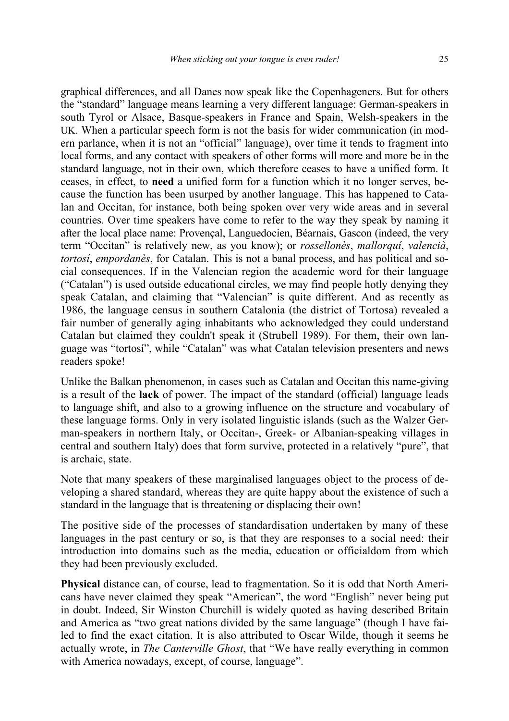graphical differences, and all Danes now speak like the Copenhageners. But for others the "standard" language means learning a very different language: German-speakers in south Tyrol or Alsace, Basque-speakers in France and Spain, Welsh-speakers in the UK. When a particular speech form is not the basis for wider communication (in modern parlance, when it is not an "official" language), over time it tends to fragment into local forms, and any contact with speakers of other forms will more and more be in the standard language, not in their own, which therefore ceases to have a unified form. It ceases, in effect, to **need** a unified form for a function which it no longer serves, because the function has been usurped by another language. This has happened to Catalan and Occitan, for instance, both being spoken over very wide areas and in several countries. Over time speakers have come to refer to the way they speak by naming it after the local place name: Provençal, Languedocien, Béarnais, Gascon (indeed, the very term "Occitan" is relatively new, as you know); or *rossellonès*, *mallorquí*, *valencià*, *tortosí*, *empordanès*, for Catalan. This is not a banal process, and has political and social consequences. If in the Valencian region the academic word for their language ("Catalan") is used outside educational circles, we may find people hotly denying they speak Catalan, and claiming that "Valencian" is quite different. And as recently as 1986, the language census in southern Catalonia (the district of Tortosa) revealed a fair number of generally aging inhabitants who acknowledged they could understand Catalan but claimed they couldn't speak it (Strubell 1989). For them, their own language was "tortosí", while "Catalan" was what Catalan television presenters and news readers spoke!

Unlike the Balkan phenomenon, in cases such as Catalan and Occitan this name-giving is a result of the **lack** of power. The impact of the standard (official) language leads to language shift, and also to a growing influence on the structure and vocabulary of these language forms. Only in very isolated linguistic islands (such as the Walzer German-speakers in northern Italy, or Occitan-, Greek- or Albanian-speaking villages in central and southern Italy) does that form survive, protected in a relatively "pure", that is archaic, state.

Note that many speakers of these marginalised languages object to the process of developing a shared standard, whereas they are quite happy about the existence of such a standard in the language that is threatening or displacing their own!

The positive side of the processes of standardisation undertaken by many of these languages in the past century or so, is that they are responses to a social need: their introduction into domains such as the media, education or officialdom from which they had been previously excluded.

**Physical** distance can, of course, lead to fragmentation. So it is odd that North Americans have never claimed they speak "American", the word "English" never being put in doubt. Indeed, Sir Winston Churchill is widely quoted as having described Britain and America as "two great nations divided by the same language" (though I have failed to find the exact citation. It is also attributed to Oscar Wilde, though it seems he actually wrote, in *The Canterville Ghost*, that "We have really everything in common with America nowadays, except, of course, language".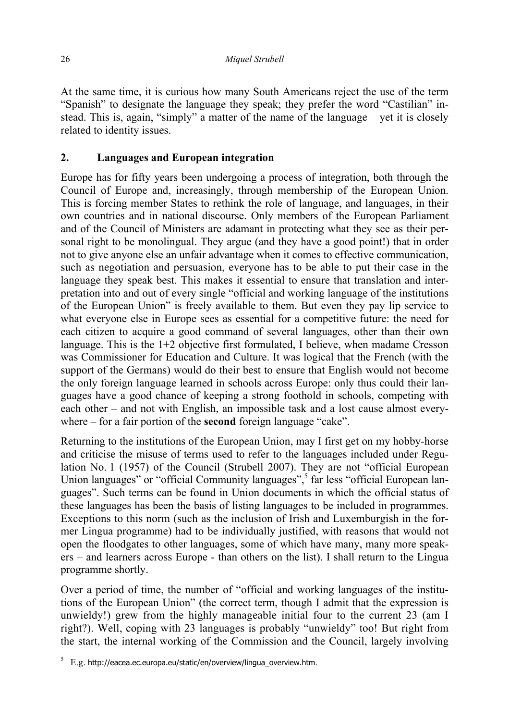At the same time, it is curious how many South Americans reject the use of the term "Spanish" to designate the language they speak; they prefer the word "Castilian" instead. This is, again, "simply" a matter of the name of the language – yet it is closely related to identity issues.

# **2. Languages and European integration**

Europe has for fifty years been undergoing a process of integration, both through the Council of Europe and, increasingly, through membership of the European Union. This is forcing member States to rethink the role of language, and languages, in their own countries and in national discourse. Only members of the European Parliament and of the Council of Ministers are adamant in protecting what they see as their personal right to be monolingual. They argue (and they have a good point!) that in order not to give anyone else an unfair advantage when it comes to effective communication, such as negotiation and persuasion, everyone has to be able to put their case in the language they speak best. This makes it essential to ensure that translation and interpretation into and out of every single "official and working language of the institutions of the European Union" is freely available to them. But even they pay lip service to what everyone else in Europe sees as essential for a competitive future: the need for each citizen to acquire a good command of several languages, other than their own language. This is the 1+2 objective first formulated, I believe, when madame Cresson was Commissioner for Education and Culture. It was logical that the French (with the support of the Germans) would do their best to ensure that English would not become the only foreign language learned in schools across Europe: only thus could their languages have a good chance of keeping a strong foothold in schools, competing with each other – and not with English, an impossible task and a lost cause almost everywhere – for a fair portion of the **second** foreign language "cake".

Returning to the institutions of the European Union, may I first get on my hobby-horse and criticise the misuse of terms used to refer to the languages included under Regulation No. 1 (1957) of the Council (Strubell 2007). They are not "official European Union languages" or "official Community languages",<sup>5</sup> far less "official European languages". Such terms can be found in Union documents in which the official status of these languages has been the basis of listing languages to be included in programmes. Exceptions to this norm (such as the inclusion of Irish and Luxemburgish in the former Lingua programme) had to be individually justified, with reasons that would not open the floodgates to other languages, some of which have many, many more speakers – and learners across Europe - than others on the list). I shall return to the Lingua programme shortly.

Over a period of time, the number of "official and working languages of the institutions of the European Union" (the correct term, though I admit that the expression is unwieldy!) grew from the highly manageable initial four to the current 23 (am I right?). Well, coping with 23 languages is probably "unwieldy" too! But right from the start, the internal working of the Commission and the Council, largely involving

 $5\quad$  E.g. http://eacea.ec.europa.eu/static/en/overview/lingua\_overview.htm.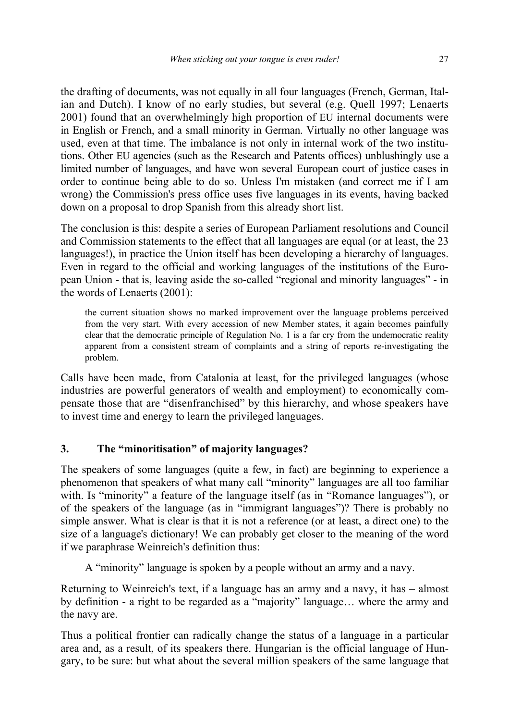the drafting of documents, was not equally in all four languages (French, German, Italian and Dutch). I know of no early studies, but several (e.g. Quell 1997; Lenaerts 2001) found that an overwhelmingly high proportion of EU internal documents were in English or French, and a small minority in German. Virtually no other language was used, even at that time. The imbalance is not only in internal work of the two institutions. Other EU agencies (such as the Research and Patents offices) unblushingly use a limited number of languages, and have won several European court of justice cases in order to continue being able to do so. Unless I'm mistaken (and correct me if I am wrong) the Commission's press office uses five languages in its events, having backed down on a proposal to drop Spanish from this already short list.

The conclusion is this: despite a series of European Parliament resolutions and Council and Commission statements to the effect that all languages are equal (or at least, the 23 languages!), in practice the Union itself has been developing a hierarchy of languages. Even in regard to the official and working languages of the institutions of the European Union - that is, leaving aside the so-called "regional and minority languages" - in the words of Lenaerts (2001):

the current situation shows no marked improvement over the language problems perceived from the very start. With every accession of new Member states, it again becomes painfully clear that the democratic principle of Regulation No. 1 is a far cry from the undemocratic reality apparent from a consistent stream of complaints and a string of reports re-investigating the problem.

Calls have been made, from Catalonia at least, for the privileged languages (whose industries are powerful generators of wealth and employment) to economically compensate those that are "disenfranchised" by this hierarchy, and whose speakers have to invest time and energy to learn the privileged languages.

## **3. The "minoritisation" of majority languages?**

The speakers of some languages (quite a few, in fact) are beginning to experience a phenomenon that speakers of what many call "minority" languages are all too familiar with. Is "minority" a feature of the language itself (as in "Romance languages"), or of the speakers of the language (as in "immigrant languages")? There is probably no simple answer. What is clear is that it is not a reference (or at least, a direct one) to the size of a language's dictionary! We can probably get closer to the meaning of the word if we paraphrase Weinreich's definition thus:

A "minority" language is spoken by a people without an army and a navy.

Returning to Weinreich's text, if a language has an army and a navy, it has – almost by definition - a right to be regarded as a "majority" language… where the army and the navy are.

Thus a political frontier can radically change the status of a language in a particular area and, as a result, of its speakers there. Hungarian is the official language of Hungary, to be sure: but what about the several million speakers of the same language that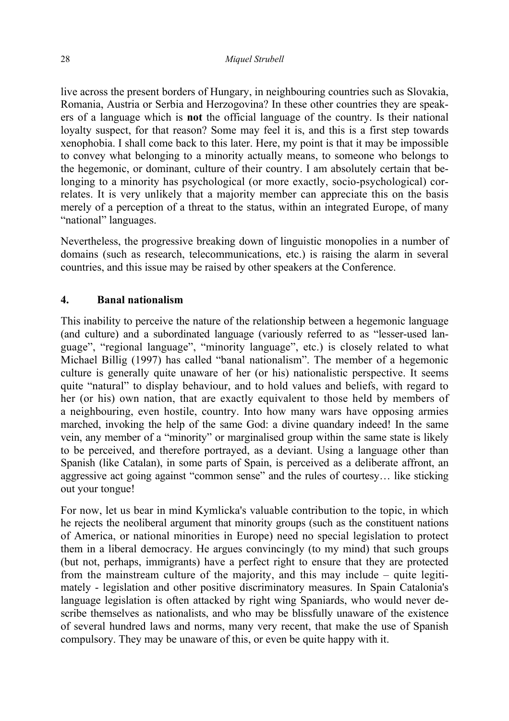live across the present borders of Hungary, in neighbouring countries such as Slovakia, Romania, Austria or Serbia and Herzogovina? In these other countries they are speakers of a language which is **not** the official language of the country. Is their national loyalty suspect, for that reason? Some may feel it is, and this is a first step towards xenophobia. I shall come back to this later. Here, my point is that it may be impossible to convey what belonging to a minority actually means, to someone who belongs to the hegemonic, or dominant, culture of their country. I am absolutely certain that belonging to a minority has psychological (or more exactly, socio-psychological) correlates. It is very unlikely that a majority member can appreciate this on the basis merely of a perception of a threat to the status, within an integrated Europe, of many "national" languages.

Nevertheless, the progressive breaking down of linguistic monopolies in a number of domains (such as research, telecommunications, etc.) is raising the alarm in several countries, and this issue may be raised by other speakers at the Conference.

# **4. Banal nationalism**

This inability to perceive the nature of the relationship between a hegemonic language (and culture) and a subordinated language (variously referred to as "lesser-used language", "regional language", "minority language", etc.) is closely related to what Michael Billig (1997) has called "banal nationalism". The member of a hegemonic culture is generally quite unaware of her (or his) nationalistic perspective. It seems quite "natural" to display behaviour, and to hold values and beliefs, with regard to her (or his) own nation, that are exactly equivalent to those held by members of a neighbouring, even hostile, country. Into how many wars have opposing armies marched, invoking the help of the same God: a divine quandary indeed! In the same vein, any member of a "minority" or marginalised group within the same state is likely to be perceived, and therefore portrayed, as a deviant. Using a language other than Spanish (like Catalan), in some parts of Spain, is perceived as a deliberate affront, an aggressive act going against "common sense" and the rules of courtesy… like sticking out your tongue!

For now, let us bear in mind Kymlicka's valuable contribution to the topic, in which he rejects the neoliberal argument that minority groups (such as the constituent nations of America, or national minorities in Europe) need no special legislation to protect them in a liberal democracy. He argues convincingly (to my mind) that such groups (but not, perhaps, immigrants) have a perfect right to ensure that they are protected from the mainstream culture of the majority, and this may include – quite legitimately - legislation and other positive discriminatory measures. In Spain Catalonia's language legislation is often attacked by right wing Spaniards, who would never describe themselves as nationalists, and who may be blissfully unaware of the existence of several hundred laws and norms, many very recent, that make the use of Spanish compulsory. They may be unaware of this, or even be quite happy with it.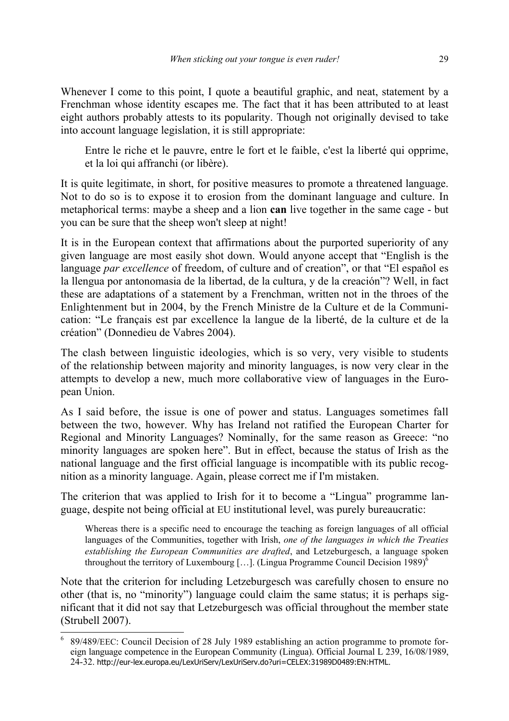Whenever I come to this point. I quote a beautiful graphic, and neat, statement by a Frenchman whose identity escapes me. The fact that it has been attributed to at least eight authors probably attests to its popularity. Though not originally devised to take into account language legislation, it is still appropriate:

Entre le riche et le pauvre, entre le fort et le faible, c'est la liberté qui opprime, et la loi qui affranchi (or libère).

It is quite legitimate, in short, for positive measures to promote a threatened language. Not to do so is to expose it to erosion from the dominant language and culture. In metaphorical terms: maybe a sheep and a lion **can** live together in the same cage - but you can be sure that the sheep won't sleep at night!

It is in the European context that affirmations about the purported superiority of any given language are most easily shot down. Would anyone accept that "English is the language *par excellence* of freedom, of culture and of creation", or that "El español es la llengua por antonomasia de la libertad, de la cultura, y de la creación"? Well, in fact these are adaptations of a statement by a Frenchman, written not in the throes of the Enlightenment but in 2004, by the French Ministre de la Culture et de la Communication: "Le français est par excellence la langue de la liberté, de la culture et de la création" (Donnedieu de Vabres 2004).

The clash between linguistic ideologies, which is so very, very visible to students of the relationship between majority and minority languages, is now very clear in the attempts to develop a new, much more collaborative view of languages in the European Union.

As I said before, the issue is one of power and status. Languages sometimes fall between the two, however. Why has Ireland not ratified the European Charter for Regional and Minority Languages? Nominally, for the same reason as Greece: "no minority languages are spoken here". But in effect, because the status of Irish as the national language and the first official language is incompatible with its public recognition as a minority language. Again, please correct me if I'm mistaken.

The criterion that was applied to Irish for it to become a "Lingua" programme language, despite not being official at EU institutional level, was purely bureaucratic:

Whereas there is a specific need to encourage the teaching as foreign languages of all official languages of the Communities, together with Irish, *one of the languages in which the Treaties establishing the European Communities are drafted*, and Letzeburgesch, a language spoken throughout the territory of Luxembourg [...]. (Lingua Programme Council Decision 1989)<sup>6</sup>

Note that the criterion for including Letzeburgesch was carefully chosen to ensure no other (that is, no "minority") language could claim the same status; it is perhaps significant that it did not say that Letzeburgesch was official throughout the member state (Strubell 2007).

 $\overline{\phantom{a}}$ 6 89/489/EEC: Council Decision of 28 July 1989 establishing an action programme to promote foreign language competence in the European Community (Lingua). Official Journal L 239, 16/08/1989, 24-32. http://eur-lex.europa.eu/LexUriServ/LexUriServ.do?uri=CELEX:31989D0489:EN:HTML.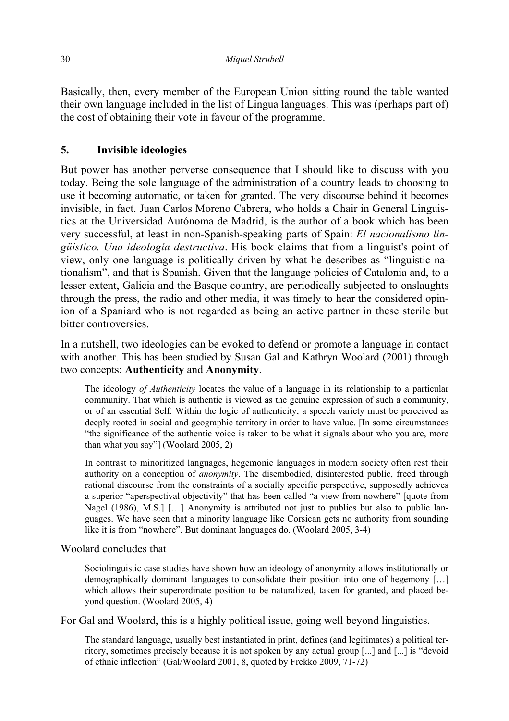Basically, then, every member of the European Union sitting round the table wanted their own language included in the list of Lingua languages. This was (perhaps part of) the cost of obtaining their vote in favour of the programme.

# **5. Invisible ideologies**

But power has another perverse consequence that I should like to discuss with you today. Being the sole language of the administration of a country leads to choosing to use it becoming automatic, or taken for granted. The very discourse behind it becomes invisible, in fact. Juan Carlos Moreno Cabrera, who holds a Chair in General Linguistics at the Universidad Autónoma de Madrid, is the author of a book which has been very successful, at least in non-Spanish-speaking parts of Spain: *El nacionalismo lingüístico. Una ideología destructiva*. His book claims that from a linguist's point of view, only one language is politically driven by what he describes as "linguistic nationalism", and that is Spanish. Given that the language policies of Catalonia and, to a lesser extent, Galicia and the Basque country, are periodically subjected to onslaughts through the press, the radio and other media, it was timely to hear the considered opinion of a Spaniard who is not regarded as being an active partner in these sterile but bitter controversies.

In a nutshell, two ideologies can be evoked to defend or promote a language in contact with another. This has been studied by Susan Gal and Kathryn Woolard (2001) through two concepts: **Authenticity** and **Anonymity**.

The ideology *of Authenticity* locates the value of a language in its relationship to a particular community. That which is authentic is viewed as the genuine expression of such a community, or of an essential Self. Within the logic of authenticity, a speech variety must be perceived as deeply rooted in social and geographic territory in order to have value. [In some circumstances "the significance of the authentic voice is taken to be what it signals about who you are, more than what you say"] (Woolard 2005, 2)

In contrast to minoritized languages, hegemonic languages in modern society often rest their authority on a conception of *anonymity*. The disembodied, disinterested public, freed through rational discourse from the constraints of a socially specific perspective, supposedly achieves a superior "aperspectival objectivity" that has been called "a view from nowhere" [quote from Nagel (1986), M.S.] [...] Anonymity is attributed not just to publics but also to public languages. We have seen that a minority language like Corsican gets no authority from sounding like it is from "nowhere". But dominant languages do. (Woolard 2005, 3-4)

## Woolard concludes that

Sociolinguistic case studies have shown how an ideology of anonymity allows institutionally or demographically dominant languages to consolidate their position into one of hegemony […] which allows their superordinate position to be naturalized, taken for granted, and placed beyond question. (Woolard 2005, 4)

For Gal and Woolard, this is a highly political issue, going well beyond linguistics.

The standard language, usually best instantiated in print, defines (and legitimates) a political territory, sometimes precisely because it is not spoken by any actual group [...] and [...] is "devoid of ethnic inflection" (Gal/Woolard 2001, 8, quoted by Frekko 2009, 71-72)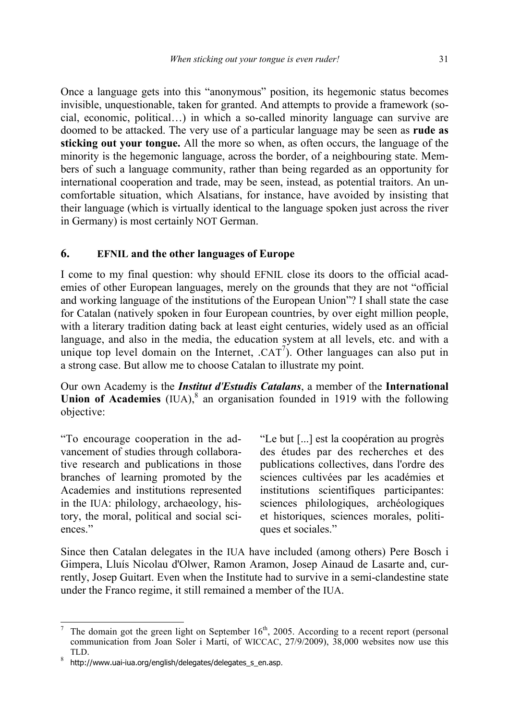Once a language gets into this "anonymous" position, its hegemonic status becomes invisible, unquestionable, taken for granted. And attempts to provide a framework (social, economic, political…) in which a so-called minority language can survive are doomed to be attacked. The very use of a particular language may be seen as **rude as sticking out your tongue.** All the more so when, as often occurs, the language of the minority is the hegemonic language, across the border, of a neighbouring state. Members of such a language community, rather than being regarded as an opportunity for international cooperation and trade, may be seen, instead, as potential traitors. An uncomfortable situation, which Alsatians, for instance, have avoided by insisting that their language (which is virtually identical to the language spoken just across the river in Germany) is most certainly NOT German.

## **6. EFNIL and the other languages of Europe**

I come to my final question: why should EFNIL close its doors to the official academies of other European languages, merely on the grounds that they are not "official and working language of the institutions of the European Union"? I shall state the case for Catalan (natively spoken in four European countries, by over eight million people, with a literary tradition dating back at least eight centuries, widely used as an official language, and also in the media, the education system at all levels, etc. and with a unique top level domain on the Internet,  $.CAT<sup>7</sup>$ ). Other languages can also put in a strong case. But allow me to choose Catalan to illustrate my point.

Our own Academy is the *Institut d'Estudis Catalans*, a member of the **International Union of Academies** (IUA), $^8$  an organisation founded in 1919 with the following objective:

"To encourage cooperation in the advancement of studies through collaborative research and publications in those branches of learning promoted by the Academies and institutions represented in the IUA: philology, archaeology, history, the moral, political and social sciences."

"Le but [...] est la coopération au progrès des études par des recherches et des publications collectives, dans l'ordre des sciences cultivées par les académies et institutions scientifiques participantes: sciences philologiques, archéologiques et historiques, sciences morales, politiques et sociales."

Since then Catalan delegates in the IUA have included (among others) Pere Bosch i Gimpera, Lluís Nicolau d'Olwer, Ramon Aramon, Josep Ainaud de Lasarte and, currently, Josep Guitart. Even when the Institute had to survive in a semi-clandestine state under the Franco regime, it still remained a member of the IUA.

 $\overline{\phantom{a}}$ 7 The domain got the green light on September  $16<sup>th</sup>$ , 2005. According to a recent report (personal communication from Joan Soler i Martí, of WICCAC, 27/9/2009), 38,000 websites now use this

TLD.<br><sup>8</sup> http://www.uai-iua.org/english/delegates/delegates\_s\_en.asp.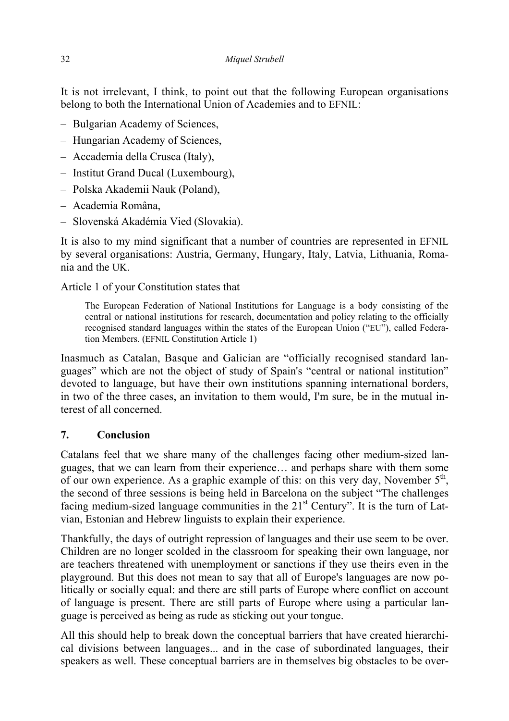It is not irrelevant, I think, to point out that the following European organisations belong to both the International Union of Academies and to EFNIL:

- Bulgarian Academy of Sciences,
- Hungarian Academy of Sciences,
- Accademia della Crusca (Italy),
- Institut Grand Ducal (Luxembourg),
- Polska Akademii Nauk (Poland),
- Academia Româna,
- Slovenská Akadémia Vied (Slovakia).

It is also to my mind significant that a number of countries are represented in EFNIL by several organisations: Austria, Germany, Hungary, Italy, Latvia, Lithuania, Romania and the UK.

Article 1 of your Constitution states that

The European Federation of National Institutions for Language is a body consisting of the central or national institutions for research, documentation and policy relating to the officially recognised standard languages within the states of the European Union ("EU"), called Federation Members. (EFNIL Constitution Article 1)

Inasmuch as Catalan, Basque and Galician are "officially recognised standard languages" which are not the object of study of Spain's "central or national institution" devoted to language, but have their own institutions spanning international borders, in two of the three cases, an invitation to them would, I'm sure, be in the mutual interest of all concerned.

## **7. Conclusion**

Catalans feel that we share many of the challenges facing other medium-sized languages, that we can learn from their experience… and perhaps share with them some of our own experience. As a graphic example of this: on this very day, November  $5<sup>th</sup>$ , the second of three sessions is being held in Barcelona on the subject "The challenges facing medium-sized language communities in the  $21<sup>st</sup>$  Century". It is the turn of Latvian, Estonian and Hebrew linguists to explain their experience.

Thankfully, the days of outright repression of languages and their use seem to be over. Children are no longer scolded in the classroom for speaking their own language, nor are teachers threatened with unemployment or sanctions if they use theirs even in the playground. But this does not mean to say that all of Europe's languages are now politically or socially equal: and there are still parts of Europe where conflict on account of language is present. There are still parts of Europe where using a particular language is perceived as being as rude as sticking out your tongue.

All this should help to break down the conceptual barriers that have created hierarchical divisions between languages... and in the case of subordinated languages, their speakers as well. These conceptual barriers are in themselves big obstacles to be over-